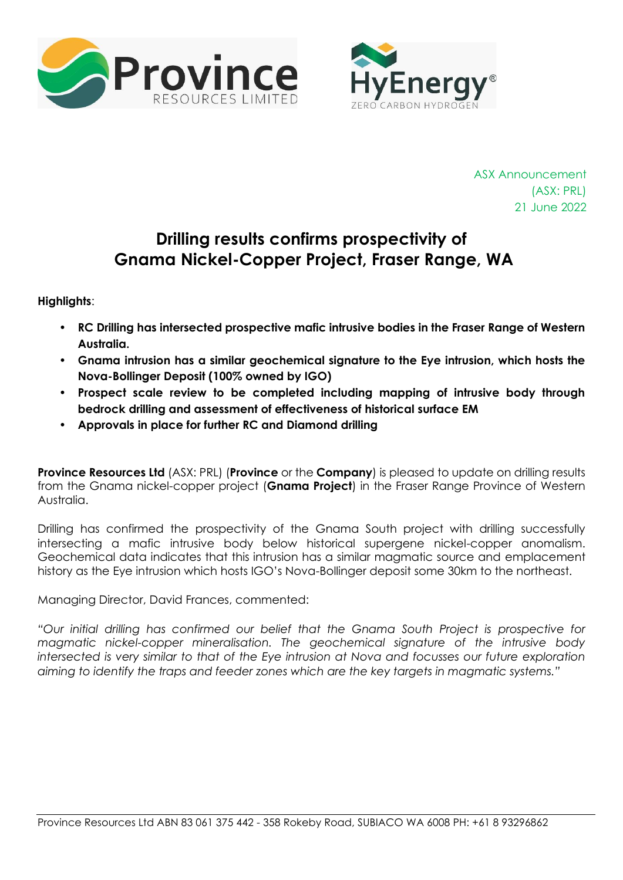



ASX Announcement (ASX: PRL) 21 June 2022

# **Drilling results confirms prospectivity of Gnama Nickel-Copper Project, Fraser Range, WA**

**Highlights**:

- **RC Drilling has intersected prospective mafic intrusive bodies in the Fraser Range of Western Australia.**
- **Gnama intrusion has a similar geochemical signature to the Eye intrusion, which hosts the Nova-Bollinger Deposit (100% owned by IGO)**
- **Prospect scale review to be completed including mapping of intrusive body through bedrock drilling and assessment of effectiveness of historical surface EM**
- **Approvals in place for further RC and Diamond drilling**

**Province Resources Ltd** (ASX: PRL) (**Province** or the **Company**) is pleased to update on drilling results from the Gnama nickel-copper project (**Gnama Project**) in the Fraser Range Province of Western Australia.

Drilling has confirmed the prospectivity of the Gnama South project with drilling successfully intersecting a mafic intrusive body below historical supergene nickel-copper anomalism. Geochemical data indicates that this intrusion has a similar magmatic source and emplacement history as the Eye intrusion which hosts IGO's Nova-Bollinger deposit some 30km to the northeast.

Managing Director, David Frances, commented:

*"Our initial drilling has confirmed our belief that the Gnama South Project is prospective for magmatic nickel-copper mineralisation. The geochemical signature of the intrusive body intersected is very similar to that of the Eye intrusion at Nova and focusses our future exploration aiming to identify the traps and feeder zones which are the key targets in magmatic systems."*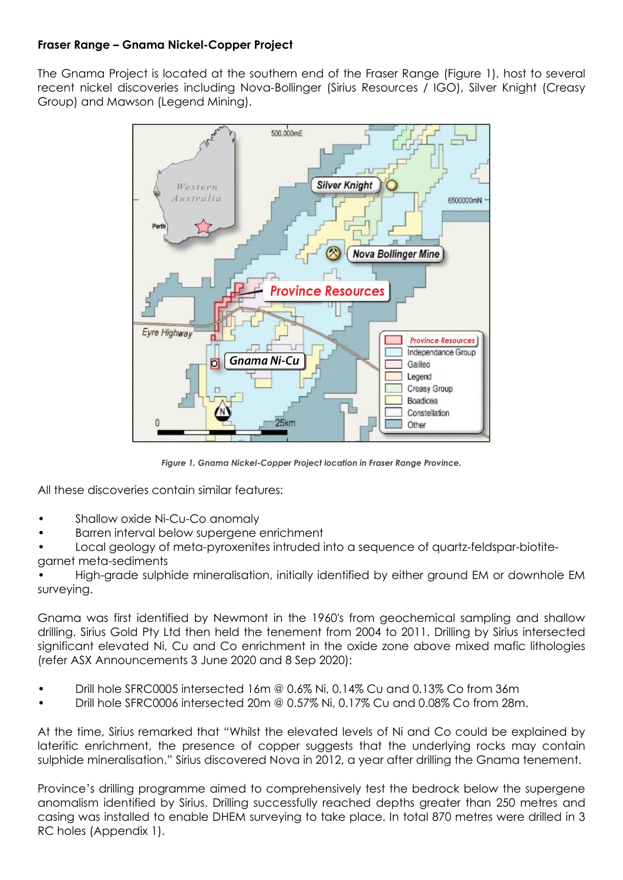### **Fraser Range – Gnama Nickel-Copper Project**

The Gnama Project is located at the southern end of the Fraser Range (Figure 1), host to several recent nickel discoveries including Nova-Bollinger (Sirius Resources / IGO), Silver Knight (Creasy Group) and Mawson (Legend Mining).



*Figure 1. Gnama Nickel-Copper Project location in Fraser Range Province.*

All these discoveries contain similar features:

- Shallow oxide Ni-Cu-Co anomaly
- Barren interval below supergene enrichment
- Local geology of meta-pyroxenites intruded into a sequence of quartz-feldspar-biotitegarnet meta-sediments

• High-grade sulphide mineralisation, initially identified by either ground EM or downhole EM surveying.

Gnama was first identified by Newmont in the 1960's from geochemical sampling and shallow drilling. Sirius Gold Pty Ltd then held the tenement from 2004 to 2011. Drilling by Sirius intersected significant elevated Ni, Cu and Co enrichment in the oxide zone above mixed mafic lithologies (refer ASX Announcements 3 June 2020 and 8 Sep 2020):

- Drill hole SFRC0005 intersected 16m @ 0.6% Ni, 0.14% Cu and 0.13% Co from 36m
- Drill hole SFRC0006 intersected 20m @ 0.57% Ni, 0.17% Cu and 0.08% Co from 28m.

At the time, Sirius remarked that "Whilst the elevated levels of Ni and Co could be explained by lateritic enrichment, the presence of copper suggests that the underlying rocks may contain sulphide mineralisation." Sirius discovered Nova in 2012, a year after drilling the Gnama tenement.

Province's drilling programme aimed to comprehensively test the bedrock below the supergene anomalism identified by Sirius. Drilling successfully reached depths greater than 250 metres and casing was installed to enable DHEM surveying to take place. In total 870 metres were drilled in 3 RC holes (Appendix 1).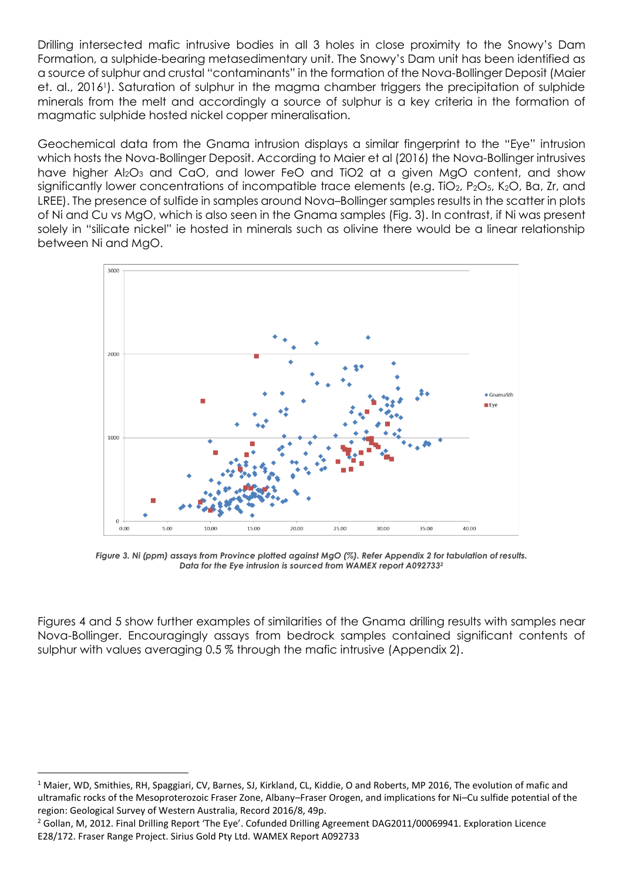Drilling intersected mafic intrusive bodies in all 3 holes in close proximity to the Snowy's Dam Formation, a sulphide-bearing metasedimentary unit. The Snowy's Dam unit has been identified as a source of sulphur and crustal "contaminants" in the formation of the Nova-Bollinger Deposit (Maier et. al., 2016<sup>1</sup>). Saturation of sulphur in the magma chamber triggers the precipitation of sulphide minerals from the melt and accordingly a source of sulphur is a key criteria in the formation of magmatic sulphide hosted nickel copper mineralisation.

Geochemical data from the Gnama intrusion displays a similar fingerprint to the "Eye" intrusion which hosts the Nova-Bollinger Deposit. According to Maier et al (2016) the Nova-Bollinger intrusives have higher Al<sub>2</sub>O<sub>3</sub> and CaO, and lower FeO and TiO2 at a given MgO content, and show significantly lower concentrations of incompatible trace elements (e.g. TiO<sub>2</sub>, P<sub>2</sub>O<sub>5</sub>, K<sub>2</sub>O, Ba, Zr, and LREE). The presence of sulfide in samples around Nova–Bollinger samples results in the scatter in plots of Ni and Cu vs MgO, which is also seen in the Gnama samples (Fig. 3). In contrast, if Ni was present solely in "silicate nickel" ie hosted in minerals such as olivine there would be a linear relationship between Ni and MgO.



*Figure 3. Ni (ppm) assays from Province plotted against MgO (%). Refer Appendix 2 for tabulation of results. Data for the Eye intrusion is sourced from WAMEX report A092733<sup>2</sup>*

Figures 4 and 5 show further examples of similarities of the Gnama drilling results with samples near Nova-Bollinger. Encouragingly assays from bedrock samples contained significant contents of sulphur with values averaging 0.5 % through the mafic intrusive (Appendix 2).

 $1$  Maier, WD, Smithies, RH, Spaggiari, CV, Barnes, SJ, Kirkland, CL, Kiddie, O and Roberts, MP 2016, The evolution of mafic and ultramafic rocks of the Mesoproterozoic Fraser Zone, Albany–Fraser Orogen, and implications for Ni–Cu sulfide potential of the region: Geological Survey of Western Australia, Record 2016/8, 49p.

<sup>&</sup>lt;sup>2</sup> Gollan, M, 2012. Final Drilling Report 'The Eye'. Cofunded Drilling Agreement DAG2011/00069941. Exploration Licence E28/172. Fraser Range Project. Sirius Gold Pty Ltd. WAMEX Report A092733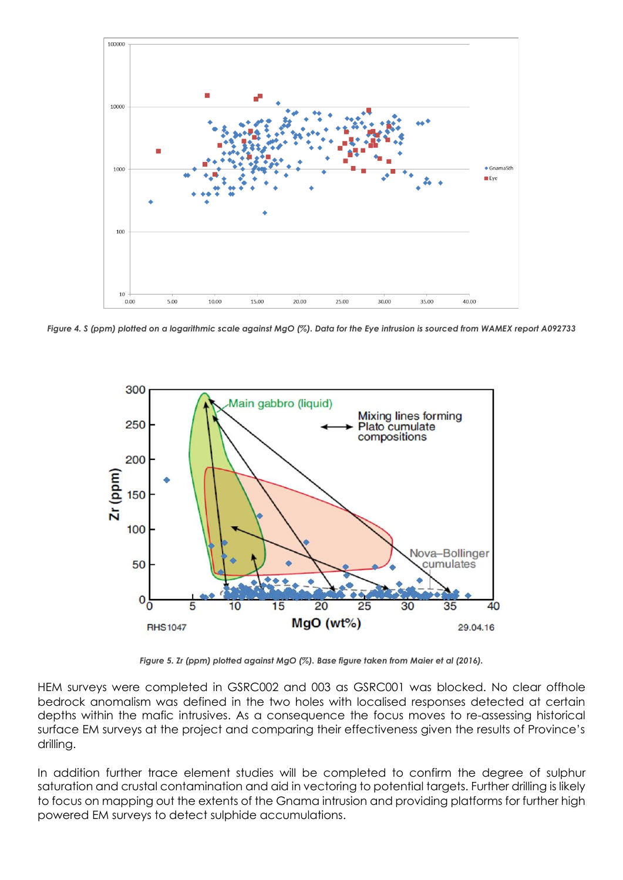

*Figure 4. S (ppm) plotted on a logarithmic scale against MgO (%). Data for the Eye intrusion is sourced from WAMEX report A092733*



*Figure 5. Zr (ppm) plotted against MgO (%). Base figure taken from Maier et al (2016).*

HEM surveys were completed in GSRC002 and 003 as GSRC001 was blocked. No clear offhole bedrock anomalism was defined in the two holes with localised responses detected at certain depths within the mafic intrusives. As a consequence the focus moves to re-assessing historical surface EM surveys at the project and comparing their effectiveness given the results of Province's drilling.

In addition further trace element studies will be completed to confirm the degree of sulphur saturation and crustal contamination and aid in vectoring to potential targets. Further drilling is likely to focus on mapping out the extents of the Gnama intrusion and providing platforms for further high powered EM surveys to detect sulphide accumulations.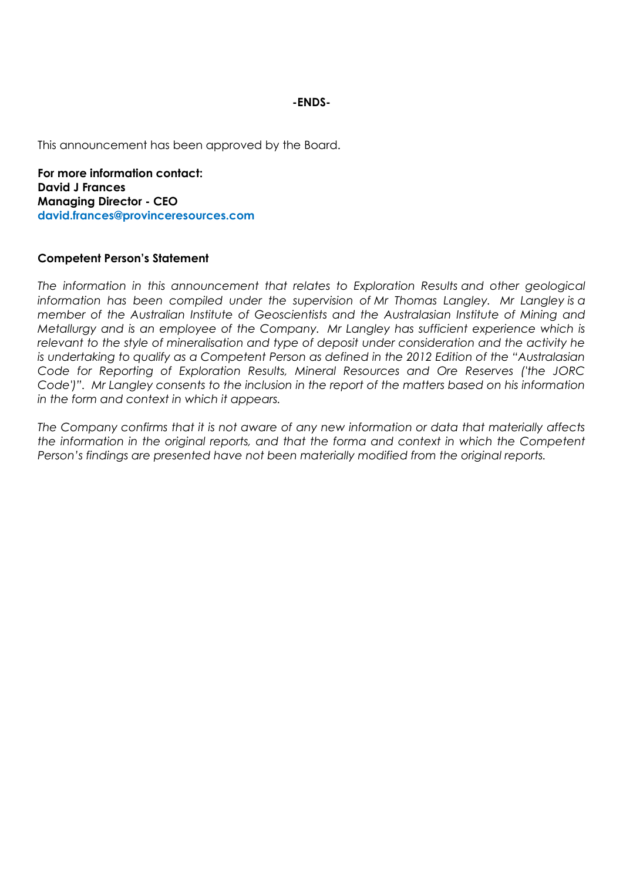This announcement has been approved by the Board.

**For more information contact: David J Frances Managing Director - CEO david.frances@provinceresources.com**

#### **Competent Person's Statement**

*The information in this announcement that relates to Exploration Results and other geological information has been compiled under the supervision of Mr Thomas Langley. Mr Langley is a member of the Australian Institute of Geoscientists and the Australasian Institute of Mining and Metallurgy and is an employee of the Company. Mr Langley has sufficient experience which is*  relevant to the style of mineralisation and type of deposit under consideration and the activity he *is undertaking to qualify as a Competent Person as defined in the 2012 Edition of the "Australasian Code for Reporting of Exploration Results, Mineral Resources and Ore Reserves ('the JORC Code')". Mr Langley consents to the inclusion in the report of the matters based on his information in the form and context in which it appears.* 

*The Company confirms that it is not aware of any new information or data that materially affects the information in the original reports, and that the forma and context in which the Competent Person's findings are presented have not been materially modified from the original reports.*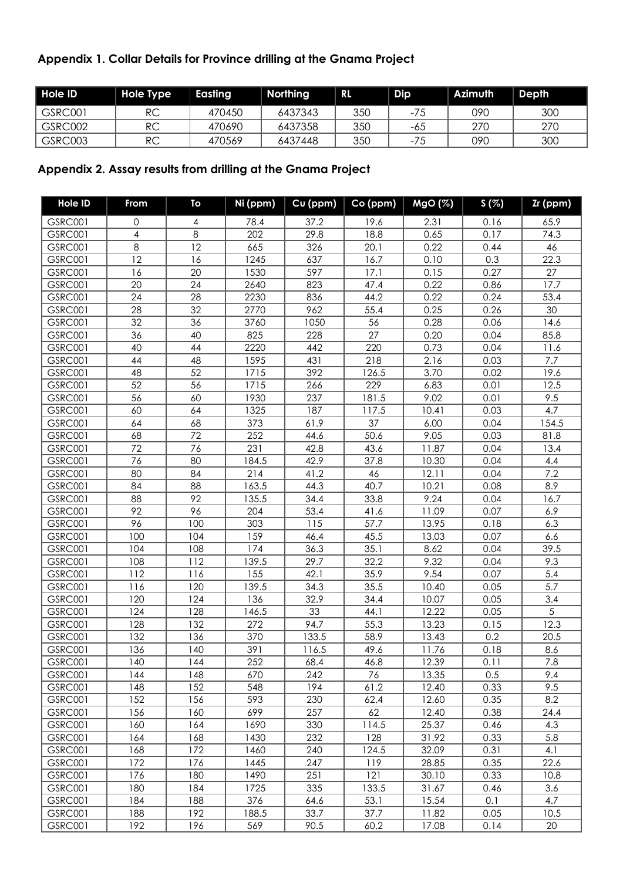# **Appendix 1. Collar Details for Province drilling at the Gnama Project**

| Hole ID | Hole Type | <b>Easting</b> | <b>Northing</b> | <b>RL</b> | Dip | Azimuth | <b>Depth</b> |
|---------|-----------|----------------|-----------------|-----------|-----|---------|--------------|
| GSRC001 | RC        | 470450         | 6437343         | 350       | -75 | 09C     | 300          |
| GSRC002 | RC        | 470690         | 6437358         | 350       | -65 | 27C     | 270          |
| GSRC003 | RC        | 470569         | 6437448         | 350       | -75 | 09C     | 300          |

# **Appendix 2. Assay results from drilling at the Gnama Project**

| <b>Hole ID</b>     | From        | To         | Ni (ppm)     | Cu (ppm)   | Co (ppm)     | MgO (%)        | S(%)         | Zr (ppm)    |
|--------------------|-------------|------------|--------------|------------|--------------|----------------|--------------|-------------|
| GSRC001            | $\mathbf 0$ | 4          | 78.4         | 37.2       | 19.6         | 2.31           | 0.16         | 65.9        |
| <b>GSRC001</b>     | 4           | 8          | 202          | 29.8       | 18.8         | 0.65           | 0.17         | 74.3        |
| <b>GSRC001</b>     | $\,8\,$     | 12         | 665          | 326        | 20.1         | 0.22           | 0.44         | 46          |
| GSRC001            | 12          | 16         | 1245         | 637        | 16.7         | 0.10           | 0.3          | 22.3        |
| GSRC001            | 16          | 20         | 1530         | 597        | 17.1         | 0.15           | 0.27         | 27          |
| <b>GSRC001</b>     | 20          | 24         | 2640         | 823        | 47.4         | 0.22           | 0.86         | 17.7        |
| GSRC001            | 24          | 28         | 2230         | 836        | 44.2         | 0.22           | 0.24         | 53.4        |
| GSRC001            | 28          | 32         | 2770         | 962        | 55.4         | 0.25           | 0.26         | 30          |
| GSRC001            | 32          | 36         | 3760         | 1050       | 56           | 0.28           | 0.06         | 14.6        |
| GSRC001            | 36          | 40         | 825          | 228        | 27           | 0.20           | 0.04         | 85.8        |
| GSRC001            | 40          | 44         | 2220         | 442        | 220          | 0.73           | 0.04         | 11.6        |
| GSRC001            | 44          | 48         | 1595         | 431        | 218          | 2.16           | 0.03         | 7.7         |
| GSRC001            | 48          | 52         | 1715         | 392        | 126.5        | 3.70           | 0.02         | 19.6        |
| GSRC001            | 52          | 56         | 1715         | 266        | 229          | 6.83           | 0.01         | 12.5        |
| GSRC001            | 56          | 60         | 1930         | 237        | 181.5        | 9.02           | 0.01         | 9.5         |
| GSRC001            | 60          | 64         | 1325         | 187        | 117.5        | 10.41          | 0.03         | 4.7         |
| GSRC001            | 64          | 68         | 373          | 61.9       | 37           | 6.00           | 0.04         | 154.5       |
| GSRC001            | 68          | 72         | 252          | 44.6       | 50.6         | 9.05           | 0.03         | 81.8        |
| GSRC001            | 72          | 76         | 231          | 42.8       | 43.6         | 11.87          | 0.04         | 13.4        |
| GSRC001            | 76          | 80         | 184.5        | 42.9       | 37.8         | 10.30          | 0.04         | 4.4         |
| GSRC001            | 80          | 84         | 214          | 41.2       | 46           | 12.11          | 0.04         | 7.2         |
| <b>GSRC001</b>     | 84          | 88         | 163.5        | 44.3       | 40.7         | 10.21          | 0.08         | 8.9         |
| GSRC001            | 88          | 92         | 135.5        | 34.4       | 33.8         | 9.24           | 0.04         | 16.7        |
| <b>GSRC001</b>     | 92          | 96         | 204          | 53.4       | 41.6         | 11.09          | 0.07         | 6.9         |
| GSRC001            | 96          | 100        | 303          | 115        | 57.7         | 13.95          | 0.18         | 6.3         |
| GSRC001            | 100         | 104        | 159          | 46.4       | 45.5         | 13.03          | 0.07         | 6.6         |
| GSRC001            | 104         | 108        | 174          | 36.3       | 35.1         | 8.62           | 0.04         | 39.5        |
| <b>GSRC001</b>     | 108         | 112        | 139.5        | 29.7       | 32.2         | 9.32           | 0.04         | 9.3         |
| GSRC001            | 112         | 116        | 155          | 42.1       | 35.9         | 9.54           | 0.07         | 5.4         |
| GSRC001            | 116         | 120        | 139.5        | 34.3       | 35.5         | 10.40          | 0.05         | 5.7         |
| GSRC001            | 120         | 124        | 136          | 32.9       | 34.4         | 10.07          | 0.05         | 3.4         |
| GSRC001            | 124         | 128        | 146.5        | 33         | 44.1         | 12.22          | 0.05         | 5           |
| GSRC001            | 128         | 132        | 272          | 94.7       | 55.3         | 13.23          | 0.15         | 12.3        |
| GSRC001            | 132         | 136        | 370          | 133.5      | 58.9         | 13.43          | 0.2          | 20.5        |
| GSRC001            | 136         | 140        | 391          | 116.5      | 49.6         | 11.76          | 0.18         | 8.6         |
| GSRC001            | 140         | 144        | 252          | 68.4       | 46.8         | 12.39          | 0.11         | 7.8         |
| GSRC001            | 144         | 148        | 670          | 242        | 76           | 13.35          | 0.5          | 9.4         |
| GSRC001            | 148         | 152        | 548          | 194        | 61.2         | 12.40          | 0.33         | 9.5         |
| GSRC001            | 152         | 156        | 593          | 230        | 62.4         | 12.60          | 0.35         | 8.2         |
| GSRC001            | 156         | 160        | 699          | 257        | 62           | 12.40          | 0.38         | 24.4        |
| GSRC001            | 160         | 164        | 1690         | 330        | 114.5        | 25.37          | 0.46         | 4.3         |
| GSRC001<br>GSRC001 | 164         | 168<br>172 | 1430         | 232        | 128          | 31.92          | 0.33         | 5.8         |
| GSRC001            | 168<br>172  | 176        | 1460<br>1445 | 240<br>247 | 124.5<br>119 | 32.09<br>28.85 | 0.31<br>0.35 | 4.1<br>22.6 |
| GSRC001            | 176         | 180        | 1490         | 251        | 121          | 30.10          | 0.33         |             |
| GSRC001            | 180         | 184        | 1725         | 335        | 133.5        | 31.67          | 0.46         | 10.8<br>3.6 |
| GSRC001            | 184         | 188        | 376          | 64.6       | 53.1         | 15.54          | 0.1          | 4.7         |
| GSRC001            | 188         | 192        | 188.5        | 33.7       | 37.7         | 11.82          | 0.05         | 10.5        |
| GSRC001            | 192         | 196        | 569          | 90.5       | 60.2         | 17.08          | 0.14         | 20          |
|                    |             |            |              |            |              |                |              |             |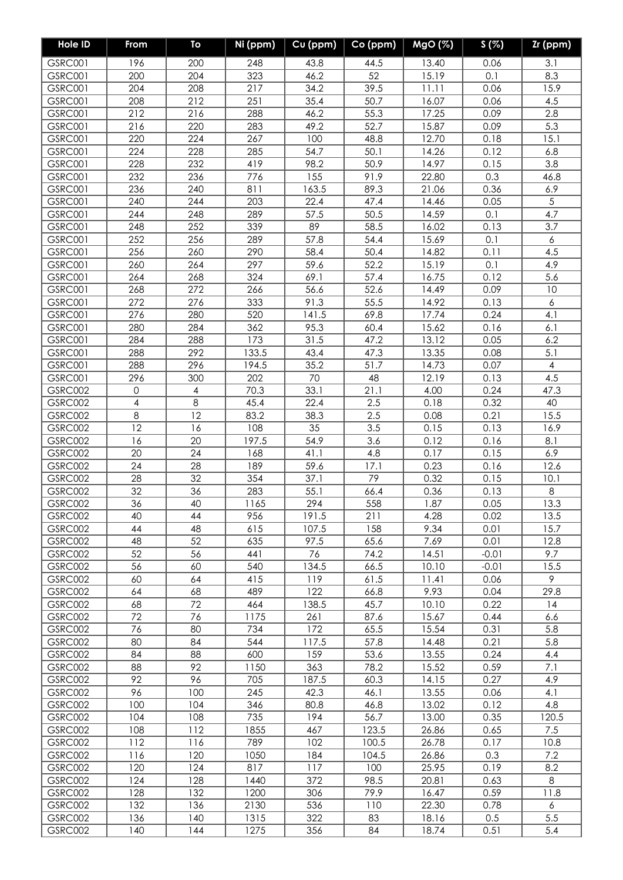| <b>Hole ID</b>     | From           | To             | Ni (ppm)   | Cu (ppm)     | Co (ppm)   | MgO (%)      | S(%)         | $Ir$ (ppm)       |
|--------------------|----------------|----------------|------------|--------------|------------|--------------|--------------|------------------|
| GSRC001            | 196            | 200            | 248        | 43.8         | 44.5       | 13.40        | 0.06         | 3.1              |
| GSRC001            | 200            | 204            | 323        | 46.2         | 52         | 15.19        | 0.1          | 8.3              |
| GSRC001            | 204            | 208            | 217        | 34.2         | 39.5       | 11.11        | 0.06         | 15.9             |
| <b>GSRC001</b>     | 208            | 212            | 251        | 35.4         | 50.7       | 16.07        | 0.06         | 4.5              |
| GSRC001            | 212            | 216            | 288        | 46.2         | 55.3       | 17.25        | 0.09         | 2.8              |
| <b>GSRC001</b>     | 216            | 220            | 283        | 49.2         | 52.7       | 15.87        | 0.09         | 5.3              |
| <b>GSRC001</b>     | 220            | 224            | 267        | 100          | 48.8       | 12.70        | 0.18         | 15.1             |
| <b>GSRC001</b>     | 224            | 228            | 285        | 54.7         | 50.1       | 14.26        | 0.12         | 6.8              |
| <b>GSRC001</b>     | 228            | 232            | 419        | 98.2         | 50.9       | 14.97        | 0.15         | 3.8              |
| <b>GSRC001</b>     | 232            | 236            | 776        | 155          | 91.9       | 22.80        | 0.3          | 46.8             |
| <b>GSRC001</b>     | 236            | 240            | 811        | 163.5        | 89.3       | 21.06        | 0.36         | 6.9              |
| <b>GSRC001</b>     | 240            | 244            | 203        | 22.4         | 47.4       | 14.46        | 0.05         | 5                |
| <b>GSRC001</b>     | 244            | 248            | 289        | 57.5         | 50.5       | 14.59        | 0.1          | 4.7              |
| <b>GSRC001</b>     | 248            | 252            | 339        | 89           | 58.5       | 16.02        | 0.13         | 3.7              |
| <b>GSRC001</b>     | 252            | 256            | 289        | 57.8         | 54.4       | 15.69        | 0.1          | $\boldsymbol{6}$ |
| <b>GSRC001</b>     | 256            | 260            | 290        | 58.4         | 50.4       | 14.82        | 0.11         | 4.5              |
| GSRC001            | 260            | 264            | 297        | 59.6         | 52.2       | 15.19        | 0.1          | 4.9              |
| GSRC001            | 264            | 268            | 324        | 69.1         | 57.4       | 16.75        | 0.12         | 5.6              |
| <b>GSRC001</b>     | 268            | 272            | 266        | 56.6         | 52.6       | 14.49        | 0.09         | 10               |
| GSRC001            | 272            | 276            | 333        | 91.3         | 55.5       | 14.92        | 0.13         | 6                |
| GSRC001            | 276            | 280            | 520        | 141.5        | 69.8       | 17.74        | 0.24         | 4.1              |
| GSRC001            | 280            | 284            | 362        | 95.3         | 60.4       | 15.62        | 0.16         | 6.1              |
| <b>GSRC001</b>     | 284            | 288            | 173        | 31.5         | 47.2       | 13.12        | 0.05         | 6.2              |
| GSRC001            | 288            | 292            | 133.5      | 43.4         | 47.3       | 13.35        | 0.08         | 5.1              |
| GSRC001            | 288            | 296            | 194.5      | 35.2         | 51.7       | 14.73        | 0.07         | $\overline{4}$   |
| GSRC001            | 296            | 300            | 202        | 70           | 48         | 12.19        | 0.13         | 4.5              |
| GSRC002            | $\mathbf 0$    | $\overline{4}$ | 70.3       | 33.1         | 21.1       | 4.00         | 0.24         | 47.3             |
| GSRC002            | $\overline{4}$ | 8              | 45.4       | 22.4         | 2.5        | 0.18         | 0.32         | 40               |
| GSRC002            | 8              | 12             | 83.2       | 38.3         | 2.5        | 0.08         | 0.21         | 15.5             |
| GSRC002            | 12             | 16             | 108        | 35           | 3.5        | 0.15         | 0.13         | 16.9             |
| GSRC002            | 16             | 20             | 197.5      | 54.9         | 3.6        | 0.12         | 0.16         | 8.1              |
| GSRC002<br>GSRC002 | 20<br>24       | 24<br>28       | 168<br>189 | 41.1<br>59.6 | 4.8        | 0.17<br>0.23 | 0.15         | 6.9<br>12.6      |
| GSRC002            | 28             | 32             | 354        | 37.1         | 17.1<br>79 | 0.32         | 0.16<br>0.15 | 10.1             |
| GSRC002            | 32             | 36             | 283        | 55.1         | 66.4       | 0.36         | 0.13         | 8                |
| GSRC002            | 36             | 40             | 1165       | 294          | 558        | 1.87         | 0.05         | 13.3             |
| GSRC002            | 40             | 44             | 956        | 191.5        | 211        | 4.28         | 0.02         | 13.5             |
| GSRC002            | 44             | 48             | 615        | 107.5        | 158        | 9.34         | 0.01         | 15.7             |
| GSRC002            | 48             | 52             | 635        | 97.5         | 65.6       | 7.69         | 0.01         | 12.8             |
| GSRC002            | 52             | 56             | 441        | 76           | 74.2       | 14.51        | $-0.01$      | 9.7              |
| GSRC002            | 56             | 60             | 540        | 134.5        | 66.5       | 10.10        | $-0.01$      | 15.5             |
| GSRC002            | 60             | 64             | 415        | 119          | 61.5       | 11.41        | 0.06         | 9                |
| GSRC002            | 64             | 68             | 489        | 122          | 66.8       | 9.93         | 0.04         | 29.8             |
| GSRC002            | 68             | 72             | 464        | 138.5        | 45.7       | 10.10        | 0.22         | 14               |
| GSRC002            | 72             | 76             | 1175       | 261          | 87.6       | 15.67        | 0.44         | 6.6              |
| GSRC002            | 76             | 80             | 734        | 172          | 65.5       | 15.54        | 0.31         | 5.8              |
| GSRC002            | 80             | 84             | 544        | 117.5        | 57.8       | 14.48        | 0.21         | 5.8              |
| GSRC002            | 84             | 88             | 600        | 159          | 53.6       | 13.55        | 0.24         | 4.4              |
| GSRC002            | 88             | 92             | 1150       | 363          | 78.2       | 15.52        | 0.59         | 7.1              |
| GSRC002            | 92             | 96             | 705        | 187.5        | 60.3       | 14.15        | 0.27         | 4.9              |
| GSRC002            | 96             | 100            | 245        | 42.3         | 46.1       | 13.55        | 0.06         | 4.1              |
| GSRC002            | 100            | 104            | 346        | 80.8         | 46.8       | 13.02        | 0.12         | 4.8              |
| GSRC002            | 104            | 108            | 735        | 194          | 56.7       | 13.00        | 0.35         | 120.5            |
| GSRC002            | 108            | 112            | 1855       | 467          | 123.5      | 26.86        | 0.65         | 7.5              |
| GSRC002            | 112            | 116            | 789        | 102          | 100.5      | 26.78        | 0.17         | 10.8             |
| GSRC002            | 116            | 120            | 1050       | 184          | 104.5      | 26.86        | 0.3          | 7.2              |
| GSRC002            | 120            | 124            | 817        | 117          | 100        | 25.95        | 0.19         | 8.2              |
| GSRC002            | 124            | 128            | 1440       | 372          | 98.5       | 20.81        | 0.63         | 8                |
| GSRC002            | 128            | 132            | 1200       | 306          | 79.9       | 16.47        | 0.59         | 11.8             |
| GSRC002            | 132            | 136            | 2130       | 536          | 110        | 22.30        | 0.78         | 6                |
| GSRC002            | 136            | 140            | 1315       | 322          | 83         | 18.16        | 0.5          | 5.5              |
| GSRC002            | 140            | 144            | 1275       | 356          | 84         | 18.74        | 0.51         | 5.4              |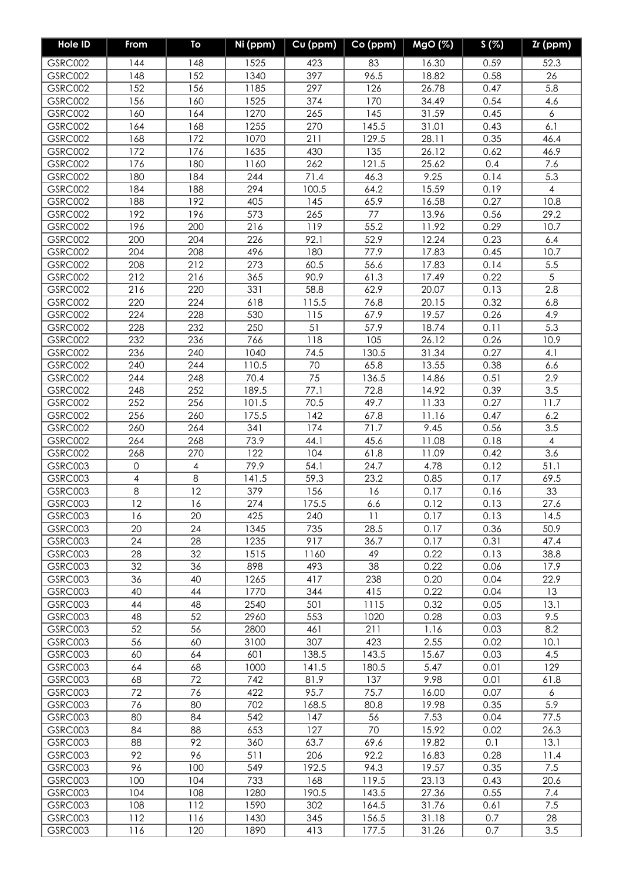| <b>Hole ID</b>     | From                | To             | Ni (ppm)     | Cu (ppm)    | Co (ppm)     | MgO (%)        | S(%)         | $Zr$ (ppm)            |
|--------------------|---------------------|----------------|--------------|-------------|--------------|----------------|--------------|-----------------------|
| GSRC002            | 144                 | 148            | 1525         | 423         | 83           | 16.30          | 0.59         | 52.3                  |
| <b>GSRC002</b>     | 148                 | 152            | 1340         | 397         | 96.5         | 18.82          | 0.58         | 26                    |
| GSRC002            | 152                 | 156            | 1185         | 297         | 126          | 26.78          | 0.47         | 5.8                   |
| <b>GSRC002</b>     | 156                 | 160            | 1525         | 374         | 170          | 34.49          | 0.54         | 4.6                   |
| <b>GSRC002</b>     | 160                 | 164            | 1270         | 265         | 145          | 31.59          | 0.45         | 6                     |
| GSRC002            | 164                 | 168            | 1255         | 270         | 145.5        | 31.01          | 0.43         | 6.1                   |
| <b>GSRC002</b>     | 168                 | 172            | 1070         | 211         | 129.5        | 28.11          | 0.35         | 46.4                  |
| GSRC002            | 172                 | 176            | 1635         | 430         | 135          | 26.12          | 0.62         | 46.9                  |
| <b>GSRC002</b>     | 176                 | 180            | 1160         | 262         | 121.5        | 25.62          | 0.4          | 7.6                   |
| GSRC002            | 180                 | 184            | 244          | 71.4        | 46.3         | 9.25           | 0.14         | 5.3                   |
| GSRC002            | 184                 | 188            | 294          | 100.5       | 64.2         | 15.59          | 0.19         | 4                     |
| GSRC002            | 188                 | 192            | 405          | 145         | 65.9         | 16.58          | 0.27         | 10.8                  |
| GSRC002            | 192                 | 196            | 573          | 265         | 77           | 13.96          | 0.56         | 29.2                  |
| GSRC002            | 196                 | 200            | 216          | 119         | 55.2         | 11.92          | 0.29         | 10.7                  |
| GSRC002            | 200                 | 204            | 226          | 92.1        | 52.9         | 12.24          | 0.23         | 6.4                   |
| GSRC002            | 204                 | 208            | 496          | 180         | 77.9         | 17.83          | 0.45         | 10.7                  |
| GSRC002            | 208                 | 212            | 273          | 60.5        | 56.6         | 17.83          | 0.14         | 5.5                   |
| GSRC002            | 212                 | 216            | 365          | 90.9        | 61.3         | 17.49          | 0.22         | 5                     |
| <b>GSRC002</b>     | 216                 | 220            | 331          | 58.8        | 62.9         | 20.07          | 0.13         | 2.8                   |
| GSRC002            | 220                 | 224            | 618          | 115.5       | 76.8         | 20.15          | 0.32         | 6.8                   |
| GSRC002            | 224                 | 228            | 530          | 115         | 67.9         | 19.57          | 0.26         | 4.9                   |
| GSRC002            | 228                 | 232            | 250          | 51          | 57.9         | 18.74          | 0.11         | 5.3                   |
| <b>GSRC002</b>     | 232                 | 236            | 766          | 118         | 105          | 26.12          | 0.26         | 10.9                  |
| GSRC002            | 236                 | 240            | 1040         | 74.5        | 130.5        | 31.34          | 0.27         | 4.1                   |
| GSRC002            | 240                 | 244            | 110.5        | 70          | 65.8         | 13.55          | 0.38         | 6.6                   |
| GSRC002            | 244                 | 248            | 70.4         | 75          | 136.5        | 14.86          | 0.51         | 2.9                   |
| GSRC002            | 248                 | 252            | 189.5        | 77.1        | 72.8         | 14.92          | 0.39         | 3.5                   |
| GSRC002            | 252                 | 256            | 101.5        | 70.5        | 49.7         | 11.33          | 0.27         | 11.7                  |
| GSRC002            | 256                 | 260            | 175.5<br>341 | 142         | 67.8         | 11.16          | 0.47         | 6.2                   |
| GSRC002<br>GSRC002 | 260<br>264          | 264<br>268     | 73.9         | 174<br>44.1 | 71.7<br>45.6 | 9.45           | 0.56         | 3.5<br>$\overline{4}$ |
| GSRC002            | 268                 | 270            | 122          | 104         | 61.8         | 11.08<br>11.09 | 0.18<br>0.42 | 3.6                   |
| GSRC003            | $\mathsf{O}\xspace$ | $\overline{4}$ | 79.9         | 54.1        | 24.7         | 4.78           | 0.12         | 51.1                  |
| GSRC003            | $\overline{4}$      | 8              | 141.5        | 59.3        | 23.2         | 0.85           | 0.17         | 69.5                  |
| GSRC003            | 8                   | 12             | 379          | 156         | 16           | 0.17           | 0.16         | 33                    |
| GSRC003            | 12                  | 16             | 274          | 175.5       | 6.6          | 0.12           | 0.13         | 27.6                  |
| GSRC003            | 16                  | 20             | 425          | 240         | 11           | 0.17           | 0.13         | 14.5                  |
| GSRC003            | 20                  | 24             | 1345         | 735         | 28.5         | 0.17           | 0.36         | 50.9                  |
| GSRC003            | 24                  | 28             | 1235         | 917         | 36.7         | 0.17           | 0.31         | 47.4                  |
| GSRC003            | 28                  | 32             | 1515         | 1160        | 49           | 0.22           | 0.13         | 38.8                  |
| GSRC003            | 32                  | 36             | 898          | 493         | 38           | 0.22           | 0.06         | 17.9                  |
| GSRC003            | 36                  | 40             | 1265         | 417         | 238          | 0.20           | 0.04         | 22.9                  |
| GSRC003            | 40                  | 44             | 1770         | 344         | 415          | 0.22           | 0.04         | 13                    |
| GSRC003            | 44                  | 48             | 2540         | 501         | 1115         | 0.32           | 0.05         | 13.1                  |
| GSRC003            | 48                  | 52             | 2960         | 553         | 1020         | 0.28           | 0.03         | 9.5                   |
| GSRC003            | 52                  | 56             | 2800         | 461         | 211          | 1.16           | 0.03         | 8.2                   |
| GSRC003            | 56                  | 60             | 3100         | 307         | 423          | 2.55           | 0.02         | 10.1                  |
| GSRC003            | 60                  | 64             | 601          | 138.5       | 143.5        | 15.67          | 0.03         | 4.5                   |
| GSRC003            | 64                  | 68             | 1000         | 141.5       | 180.5        | 5.47           | 0.01         | 129                   |
| GSRC003            | 68                  | 72             | 742          | 81.9        | 137          | 9.98           | 0.01         | 61.8                  |
| GSRC003            | 72                  | 76             | 422          | 95.7        | 75.7         | 16.00          | 0.07         | 6                     |
| GSRC003            | 76                  | 80             | 702          | 168.5       | 80.8         | 19.98          | 0.35         | 5.9                   |
| GSRC003            | 80                  | 84             | 542          | 147         | 56           | 7.53           | 0.04         | 77.5                  |
| GSRC003            | 84                  | 88             | 653          | 127         | 70           | 15.92          | 0.02         | 26.3                  |
| GSRC003            | 88                  | 92             | 360          | 63.7        | 69.6         | 19.82          | 0.1          | 13.1                  |
| GSRC003            | 92                  | 96             | 511          | 206         | 92.2         | 16.83          | 0.28         | 11.4                  |
| GSRC003            | 96                  | 100            | 549          | 192.5       | 94.3         | 19.57          | 0.35         | 7.5                   |
| GSRC003            | 100                 | 104            | 733          | 168         | 119.5        | 23.13          | 0.43         | 20.6                  |
| GSRC003            | 104                 | 108            | 1280         | 190.5       | 143.5        | 27.36          | 0.55         | 7.4                   |
| GSRC003            | 108                 | 112            | 1590         | 302         | 164.5        | 31.76          | 0.61         | 7.5                   |
| GSRC003            | 112                 | 116            | 1430         | 345         | 156.5        | 31.18          | 0.7          | 28                    |
| GSRC003            | 116                 | 120            | 1890         | 413         | 177.5        | 31.26          | 0.7          | 3.5                   |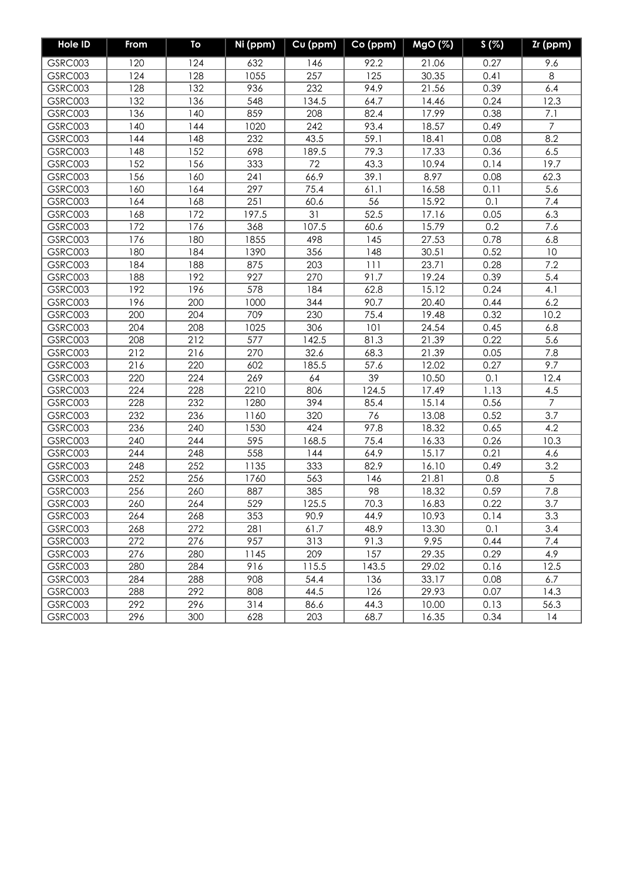| <b>Hole ID</b> | From | To  | Ni (ppm) | Cu (ppm) | Co (ppm) | MgO (%) | S(%) | Zr (ppm)       |
|----------------|------|-----|----------|----------|----------|---------|------|----------------|
| GSRC003        | 120  | 124 | 632      | 146      | 92.2     | 21.06   | 0.27 | 9.6            |
| GSRC003        | 124  | 128 | 1055     | 257      | 125      | 30.35   | 0.41 | $\,8\,$        |
| GSRC003        | 128  | 132 | 936      | 232      | 94.9     | 21.56   | 0.39 | 6.4            |
| GSRC003        | 132  | 136 | 548      | 134.5    | 64.7     | 14.46   | 0.24 | 12.3           |
| GSRC003        | 136  | 140 | 859      | 208      | 82.4     | 17.99   | 0.38 | 7.1            |
| GSRC003        | 140  | 144 | 1020     | 242      | 93.4     | 18.57   | 0.49 | $\overline{7}$ |
| GSRC003        | 144  | 148 | 232      | 43.5     | 59.1     | 18.41   | 0.08 | 8.2            |
| GSRC003        | 148  | 152 | 698      | 189.5    | 79.3     | 17.33   | 0.36 | 6.5            |
| GSRC003        | 152  | 156 | 333      | 72       | 43.3     | 10.94   | 0.14 | 19.7           |
| GSRC003        | 156  | 160 | 241      | 66.9     | 39.1     | 8.97    | 0.08 | 62.3           |
| GSRC003        | 160  | 164 | 297      | 75.4     | 61.1     | 16.58   | 0.11 | 5.6            |
| GSRC003        | 164  | 168 | 251      | 60.6     | 56       | 15.92   | 0.1  | 7.4            |
| GSRC003        | 168  | 172 | 197.5    | 31       | 52.5     | 17.16   | 0.05 | 6.3            |
| GSRC003        | 172  | 176 | 368      | 107.5    | 60.6     | 15.79   | 0.2  | 7.6            |
| GSRC003        | 176  | 180 | 1855     | 498      | 145      | 27.53   | 0.78 | 6.8            |
| GSRC003        | 180  | 184 | 1390     | 356      | 148      | 30.51   | 0.52 | 10             |
| GSRC003        | 184  | 188 | 875      | 203      | 111      | 23.71   | 0.28 | 7.2            |
| GSRC003        | 188  | 192 | 927      | 270      | 91.7     | 19.24   | 0.39 | 5.4            |
| GSRC003        | 192  | 196 | 578      | 184      | 62.8     | 15.12   | 0.24 | 4.1            |
| GSRC003        | 196  | 200 | 1000     | 344      | 90.7     | 20.40   | 0.44 | 6.2            |
| GSRC003        | 200  | 204 | 709      | 230      | 75.4     | 19.48   | 0.32 | 10.2           |
| GSRC003        | 204  | 208 | 1025     | 306      | 101      | 24.54   | 0.45 | 6.8            |
| GSRC003        | 208  | 212 | 577      | 142.5    | 81.3     | 21.39   | 0.22 | 5.6            |
| GSRC003        | 212  | 216 | 270      | 32.6     | 68.3     | 21.39   | 0.05 | 7.8            |
| GSRC003        | 216  | 220 | 602      | 185.5    | 57.6     | 12.02   | 0.27 | 9.7            |
| GSRC003        | 220  | 224 | 269      | 64       | 39       | 10.50   | 0.1  | 12.4           |
| GSRC003        | 224  | 228 | 2210     | 806      | 124.5    | 17.49   | 1.13 | 4.5            |
| GSRC003        | 228  | 232 | 1280     | 394      | 85.4     | 15.14   | 0.56 | $\overline{7}$ |
| GSRC003        | 232  | 236 | 1160     | 320      | 76       | 13.08   | 0.52 | 3.7            |
| GSRC003        | 236  | 240 | 1530     | 424      | 97.8     | 18.32   | 0.65 | 4.2            |
| GSRC003        | 240  | 244 | 595      | 168.5    | 75.4     | 16.33   | 0.26 | 10.3           |
| GSRC003        | 244  | 248 | 558      | 144      | 64.9     | 15.17   | 0.21 | 4.6            |
| GSRC003        | 248  | 252 | 1135     | 333      | 82.9     | 16.10   | 0.49 | 3.2            |
| GSRC003        | 252  | 256 | 1760     | 563      | 146      | 21.81   | 0.8  | 5              |
| GSRC003        | 256  | 260 | 887      | 385      | 98       | 18.32   | 0.59 | 7.8            |
| GSRC003        | 260  | 264 | 529      | 125.5    | 70.3     | 16.83   | 0.22 | 3.7            |
| GSRC003        | 264  | 268 | 353      | 90.9     | 44.9     | 10.93   | 0.14 | 3.3            |
| GSRC003        | 268  | 272 | 281      | 61.7     | 48.9     | 13.30   | 0.1  | 3.4            |
| GSRC003        | 272  | 276 | 957      | 313      | 91.3     | 9.95    | 0.44 | 7.4            |
| GSRC003        | 276  | 280 | 1145     | 209      | 157      | 29.35   | 0.29 | 4.9            |
| GSRC003        | 280  | 284 | 916      | 115.5    | 143.5    | 29.02   | 0.16 | 12.5           |
| GSRC003        | 284  | 288 | 908      | 54.4     | 136      | 33.17   | 0.08 | 6.7            |
| GSRC003        | 288  | 292 | 808      | 44.5     | 126      | 29.93   | 0.07 | 14.3           |
| GSRC003        | 292  | 296 | 314      | 86.6     | 44.3     | 10.00   | 0.13 | 56.3           |
| GSRC003        | 296  | 300 | 628      | 203      | 68.7     | 16.35   | 0.34 | 14             |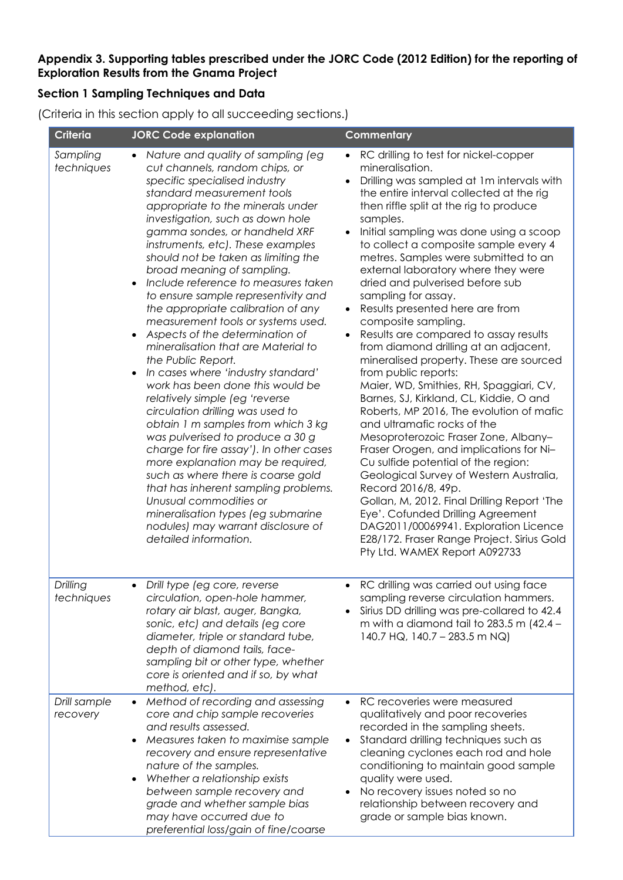### **Appendix 3. Supporting tables prescribed under the JORC Code (2012 Edition) for the reporting of Exploration Results from the Gnama Project**

## **Section 1 Sampling Techniques and Data**

(Criteria in this section apply to all succeeding sections.)

| Criteria                 | <b>JORC Code explanation</b>                                                                                                                                                                                                                                                                                                                                                                                                                                                                                                                                                                                                                                                                                                                                                                                                                                                                                                                                                                                                                                                                                                                          | Commentary                                                                                                                                                                                                                                                                                                                                                                                                                                                                                                                                                                                                                                                                                                                                                                                                                                                                                                                                                                                                                                                                                                                                                                                                                                                                        |
|--------------------------|-------------------------------------------------------------------------------------------------------------------------------------------------------------------------------------------------------------------------------------------------------------------------------------------------------------------------------------------------------------------------------------------------------------------------------------------------------------------------------------------------------------------------------------------------------------------------------------------------------------------------------------------------------------------------------------------------------------------------------------------------------------------------------------------------------------------------------------------------------------------------------------------------------------------------------------------------------------------------------------------------------------------------------------------------------------------------------------------------------------------------------------------------------|-----------------------------------------------------------------------------------------------------------------------------------------------------------------------------------------------------------------------------------------------------------------------------------------------------------------------------------------------------------------------------------------------------------------------------------------------------------------------------------------------------------------------------------------------------------------------------------------------------------------------------------------------------------------------------------------------------------------------------------------------------------------------------------------------------------------------------------------------------------------------------------------------------------------------------------------------------------------------------------------------------------------------------------------------------------------------------------------------------------------------------------------------------------------------------------------------------------------------------------------------------------------------------------|
| Sampling<br>techniques   | Nature and quality of sampling (eg<br>$\bullet$<br>cut channels, random chips, or<br>specific specialised industry<br>standard measurement tools<br>appropriate to the minerals under<br>investigation, such as down hole<br>gamma sondes, or handheld XRF<br>instruments, etc). These examples<br>should not be taken as limiting the<br>broad meaning of sampling.<br>Include reference to measures taken<br>to ensure sample representivity and<br>the appropriate calibration of any<br>measurement tools or systems used.<br>Aspects of the determination of<br>mineralisation that are Material to<br>the Public Report.<br>In cases where 'industry standard'<br>work has been done this would be<br>relatively simple (eg 'reverse<br>circulation drilling was used to<br>obtain 1 m samples from which 3 kg<br>was pulverised to produce a 30 g<br>charge for fire assay'). In other cases<br>more explanation may be required,<br>such as where there is coarse gold<br>that has inherent sampling problems.<br>Unusual commodities or<br>mineralisation types (eg submarine<br>nodules) may warrant disclosure of<br>detailed information. | RC drilling to test for nickel-copper<br>$\bullet$<br>mineralisation.<br>Drilling was sampled at 1m intervals with<br>$\bullet$<br>the entire interval collected at the rig<br>then riffle split at the rig to produce<br>samples.<br>Initial sampling was done using a scoop<br>$\bullet$<br>to collect a composite sample every 4<br>metres. Samples were submitted to an<br>external laboratory where they were<br>dried and pulverised before sub<br>sampling for assay.<br>Results presented here are from<br>composite sampling.<br>Results are compared to assay results<br>$\bullet$<br>from diamond drilling at an adjacent,<br>mineralised property. These are sourced<br>from public reports:<br>Maier, WD, Smithies, RH, Spaggiari, CV,<br>Barnes, SJ, Kirkland, CL, Kiddie, O and<br>Roberts, MP 2016, The evolution of mafic<br>and ultramafic rocks of the<br>Mesoproterozoic Fraser Zone, Albany-<br>Fraser Orogen, and implications for Ni-<br>Cu sulfide potential of the region:<br>Geological Survey of Western Australia,<br>Record 2016/8, 49p.<br>Gollan, M, 2012. Final Drilling Report 'The<br>Eye'. Cofunded Drilling Agreement<br>DAG2011/00069941. Exploration Licence<br>E28/172. Fraser Range Project. Sirius Gold<br>Pty Ltd. WAMEX Report A092733 |
| Drilling<br>techniques   | Drill type (eg core, reverse<br>$\bullet$<br>circulation, open-hole hammer,<br>rotary air blast, auger, Bangka,<br>sonic, etc) and details (eg core<br>diameter, triple or standard tube,<br>depth of diamond tails, face-<br>sampling bit or other type, whether<br>core is oriented and if so, by what<br>method, etc).                                                                                                                                                                                                                                                                                                                                                                                                                                                                                                                                                                                                                                                                                                                                                                                                                             | RC drilling was carried out using face<br>sampling reverse circulation hammers.<br>Sirius DD drilling was pre-collared to 42.4<br>$\bullet$<br>m with a diamond tail to 283.5 m $(42.4 -$<br>140.7 HQ, 140.7 - 283.5 m NQ)                                                                                                                                                                                                                                                                                                                                                                                                                                                                                                                                                                                                                                                                                                                                                                                                                                                                                                                                                                                                                                                        |
| Drill sample<br>recovery | Method of recording and assessing<br>$\bullet$<br>core and chip sample recoveries<br>and results assessed.<br>Measures taken to maximise sample<br>recovery and ensure representative<br>nature of the samples.<br>Whether a relationship exists<br>$\bullet$<br>between sample recovery and<br>grade and whether sample bias<br>may have occurred due to<br>preferential loss/gain of fine/coarse                                                                                                                                                                                                                                                                                                                                                                                                                                                                                                                                                                                                                                                                                                                                                    | • RC recoveries were measured<br>qualitatively and poor recoveries<br>recorded in the sampling sheets.<br>Standard drilling techniques such as<br>$\bullet$<br>cleaning cyclones each rod and hole<br>conditioning to maintain good sample<br>quality were used.<br>No recovery issues noted so no<br>relationship between recovery and<br>grade or sample bias known.                                                                                                                                                                                                                                                                                                                                                                                                                                                                                                                                                                                                                                                                                                                                                                                                                                                                                                            |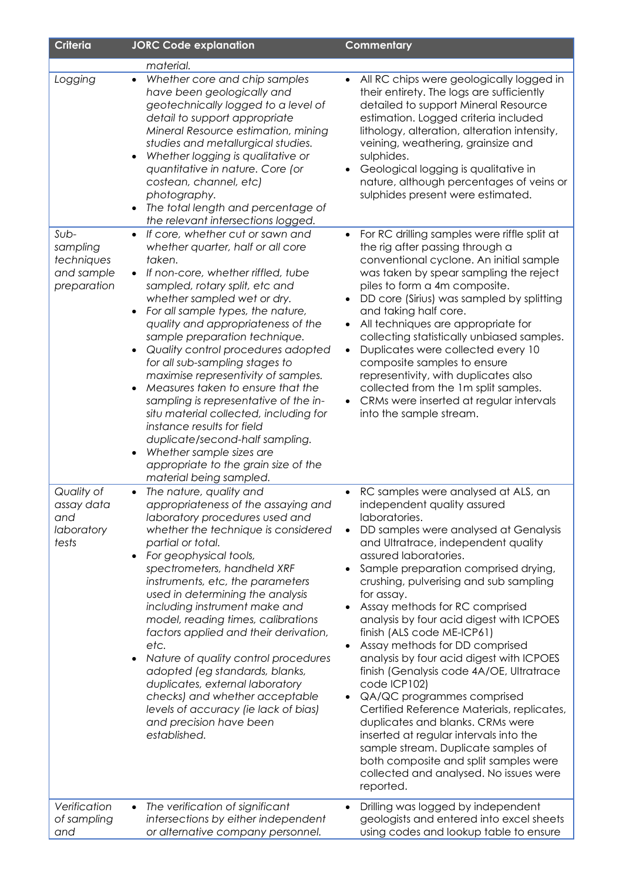| Criteria                                                      | <b>JORC Code explanation</b>                                                                                                                                                                                                                                                                                                                                                                                                                                                                                                                                                                                                                                                   | Commentary                                                                                                                                                                                                                                                                                                                                                                                                                                                                                                                                                                                                                                                                                                                                                                                                                                                                                                                |
|---------------------------------------------------------------|--------------------------------------------------------------------------------------------------------------------------------------------------------------------------------------------------------------------------------------------------------------------------------------------------------------------------------------------------------------------------------------------------------------------------------------------------------------------------------------------------------------------------------------------------------------------------------------------------------------------------------------------------------------------------------|---------------------------------------------------------------------------------------------------------------------------------------------------------------------------------------------------------------------------------------------------------------------------------------------------------------------------------------------------------------------------------------------------------------------------------------------------------------------------------------------------------------------------------------------------------------------------------------------------------------------------------------------------------------------------------------------------------------------------------------------------------------------------------------------------------------------------------------------------------------------------------------------------------------------------|
|                                                               | material.                                                                                                                                                                                                                                                                                                                                                                                                                                                                                                                                                                                                                                                                      |                                                                                                                                                                                                                                                                                                                                                                                                                                                                                                                                                                                                                                                                                                                                                                                                                                                                                                                           |
| Logging                                                       | Whether core and chip samples<br>$\bullet$<br>have been geologically and<br>geotechnically logged to a level of<br>detail to support appropriate<br>Mineral Resource estimation, mining<br>studies and metallurgical studies.<br>Whether logging is qualitative or<br>quantitative in nature. Core (or<br>costean, channel, etc)<br>photography.<br>The total length and percentage of<br>the relevant intersections logged.                                                                                                                                                                                                                                                   | All RC chips were geologically logged in<br>$\bullet$<br>their entirety. The logs are sufficiently<br>detailed to support Mineral Resource<br>estimation. Logged criteria included<br>lithology, alteration, alteration intensity,<br>veining, weathering, grainsize and<br>sulphides.<br>Geological logging is qualitative in<br>nature, although percentages of veins or<br>sulphides present were estimated.                                                                                                                                                                                                                                                                                                                                                                                                                                                                                                           |
| $Sub-$<br>sampling<br>techniques<br>and sample<br>preparation | If core, whether cut or sawn and<br>whether quarter, half or all core<br>taken.<br>If non-core, whether riffled, tube<br>sampled, rotary split, etc and<br>whether sampled wet or dry.<br>For all sample types, the nature,<br>quality and appropriateness of the<br>sample preparation technique.<br>Quality control procedures adopted<br>for all sub-sampling stages to<br>maximise representivity of samples.<br>Measures taken to ensure that the<br>sampling is representative of the in-<br>situ material collected, including for<br>instance results for field<br>duplicate/second-half sampling.<br>Whether sample sizes are<br>appropriate to the grain size of the | For RC drilling samples were riffle split at<br>$\bullet$<br>the rig after passing through a<br>conventional cyclone. An initial sample<br>was taken by spear sampling the reject<br>piles to form a 4m composite.<br>DD core (Sirius) was sampled by splitting<br>$\bullet$<br>and taking half core.<br>All techniques are appropriate for<br>$\bullet$<br>collecting statistically unbiased samples.<br>Duplicates were collected every 10<br>$\bullet$<br>composite samples to ensure<br>representivity, with duplicates also<br>collected from the 1m split samples.<br>CRMs were inserted at regular intervals<br>into the sample stream.                                                                                                                                                                                                                                                                            |
|                                                               | material being sampled.                                                                                                                                                                                                                                                                                                                                                                                                                                                                                                                                                                                                                                                        |                                                                                                                                                                                                                                                                                                                                                                                                                                                                                                                                                                                                                                                                                                                                                                                                                                                                                                                           |
| Quality of<br>assay data<br>and<br>laboratory<br>tests        | The nature, quality and<br>appropriateness of the assaying and<br>laboratory procedures used and<br>whether the technique is considered<br>partial or total.<br>For geophysical tools,<br>spectrometers, handheld XRF<br>instruments, etc, the parameters<br>used in determining the analysis<br>including instrument make and<br>model, reading times, calibrations<br>factors applied and their derivation,<br>etc.<br>Nature of quality control procedures<br>adopted (eg standards, blanks,<br>duplicates, external laboratory<br>checks) and whether acceptable<br>levels of accuracy (ie lack of bias)<br>and precision have been<br>established.                        | RC samples were analysed at ALS, an<br>$\bullet$<br>independent quality assured<br>laboratories.<br>DD samples were analysed at Genalysis<br>$\bullet$<br>and Ultratrace, independent quality<br>assured laboratories.<br>Sample preparation comprised drying,<br>٠<br>crushing, pulverising and sub sampling<br>for assay.<br>Assay methods for RC comprised<br>$\bullet$<br>analysis by four acid digest with ICPOES<br>finish (ALS code ME-ICP61)<br>Assay methods for DD comprised<br>$\bullet$<br>analysis by four acid digest with ICPOES<br>finish (Genalysis code 4A/OE, Ultratrace<br>code ICP102)<br>QA/QC programmes comprised<br>$\bullet$<br>Certified Reference Materials, replicates,<br>duplicates and blanks. CRMs were<br>inserted at regular intervals into the<br>sample stream. Duplicate samples of<br>both composite and split samples were<br>collected and analysed. No issues were<br>reported. |
| Verification<br>of sampling                                   | The verification of significant<br>$\bullet$<br>intersections by either independent                                                                                                                                                                                                                                                                                                                                                                                                                                                                                                                                                                                            | Drilling was logged by independent<br>$\bullet$<br>geologists and entered into excel sheets                                                                                                                                                                                                                                                                                                                                                                                                                                                                                                                                                                                                                                                                                                                                                                                                                               |
| and                                                           | or alternative company personnel.                                                                                                                                                                                                                                                                                                                                                                                                                                                                                                                                                                                                                                              | using codes and lookup table to ensure                                                                                                                                                                                                                                                                                                                                                                                                                                                                                                                                                                                                                                                                                                                                                                                                                                                                                    |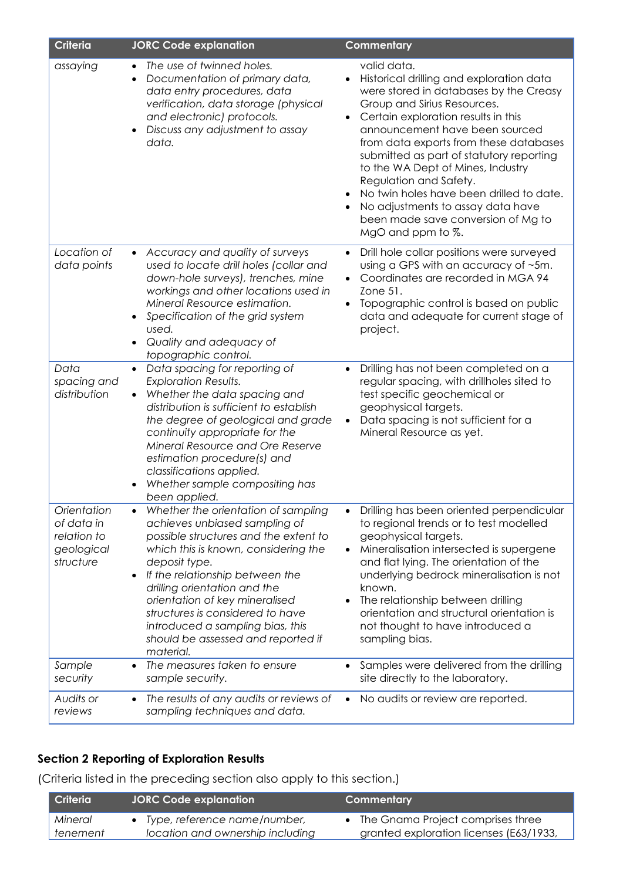| Criteria                                                            | <b>JORC Code explanation</b>                                                                                                                                                                                                                                                                                                                                                                           | Commentary                                                                                                                                                                                                                                                                                                                                                                                                                                                                                                              |
|---------------------------------------------------------------------|--------------------------------------------------------------------------------------------------------------------------------------------------------------------------------------------------------------------------------------------------------------------------------------------------------------------------------------------------------------------------------------------------------|-------------------------------------------------------------------------------------------------------------------------------------------------------------------------------------------------------------------------------------------------------------------------------------------------------------------------------------------------------------------------------------------------------------------------------------------------------------------------------------------------------------------------|
| assaying                                                            | The use of twinned holes.<br>Documentation of primary data,<br>data entry procedures, data<br>verification, data storage (physical<br>and electronic) protocols.<br>Discuss any adjustment to assay<br>data.                                                                                                                                                                                           | valid data.<br>Historical drilling and exploration data<br>$\bullet$<br>were stored in databases by the Creasy<br>Group and Sirius Resources.<br>Certain exploration results in this<br>announcement have been sourced<br>from data exports from these databases<br>submitted as part of statutory reporting<br>to the WA Dept of Mines, Industry<br>Regulation and Safety.<br>No twin holes have been drilled to date.<br>No adjustments to assay data have<br>been made save conversion of Mg to<br>MgO and ppm to %. |
| Location of<br>data points                                          | Accuracy and quality of surveys<br>used to locate drill holes (collar and<br>down-hole surveys), trenches, mine<br>workings and other locations used in<br>Mineral Resource estimation.<br>Specification of the grid system<br>used.<br>Quality and adequacy of<br>topographic control.                                                                                                                | Drill hole collar positions were surveyed<br>$\bullet$<br>using a GPS with an accuracy of ~5m.<br>Coordinates are recorded in MGA 94<br>$\bullet$<br>Zone 51.<br>Topographic control is based on public<br>٠<br>data and adequate for current stage of<br>project.                                                                                                                                                                                                                                                      |
| Data<br>spacing and<br>distribution                                 | Data spacing for reporting of<br>$\bullet$<br><b>Exploration Results.</b><br>Whether the data spacing and<br>distribution is sufficient to establish<br>the degree of geological and grade<br>continuity appropriate for the<br>Mineral Resource and Ore Reserve<br>estimation procedure(s) and<br>classifications applied.<br>Whether sample compositing has<br>been applied.                         | Drilling has not been completed on a<br>$\bullet$<br>regular spacing, with drillholes sited to<br>test specific geochemical or<br>geophysical targets.<br>Data spacing is not sufficient for a<br>$\bullet$<br>Mineral Resource as yet.                                                                                                                                                                                                                                                                                 |
| Orientation<br>of data in<br>relation to<br>geological<br>structure | Whether the orientation of sampling<br>achieves unbiased sampling of<br>possible structures and the extent to<br>which this is known, considering the<br>deposit type.<br>If the relationship between the<br>drilling orientation and the<br>orientation of key mineralised<br>structures is considered to have<br>introduced a sampling bias, this<br>should be assessed and reported if<br>material. | Drilling has been oriented perpendicular<br>to regional trends or to test modelled<br>geophysical targets.<br>Mineralisation intersected is supergene<br>$\bullet$<br>and flat lying. The orientation of the<br>underlying bedrock mineralisation is not<br>known.<br>The relationship between drilling<br>orientation and structural orientation is<br>not thought to have introduced a<br>sampling bias.                                                                                                              |
| Sample<br>security                                                  | The measures taken to ensure<br>sample security.                                                                                                                                                                                                                                                                                                                                                       | Samples were delivered from the drilling<br>$\bullet$<br>site directly to the laboratory.                                                                                                                                                                                                                                                                                                                                                                                                                               |
| Audits or<br>reviews                                                | The results of any audits or reviews of<br>$\bullet$<br>sampling techniques and data.                                                                                                                                                                                                                                                                                                                  | No audits or review are reported.<br>$\bullet$                                                                                                                                                                                                                                                                                                                                                                                                                                                                          |

# **Section 2 Reporting of Exploration Results**

(Criteria listed in the preceding section also apply to this section.)

| Criteria | <b>JORC Code explanation</b>     | Commentary                              |
|----------|----------------------------------|-----------------------------------------|
| Mineral  | Type, reference name/number,     | The Gnama Project comprises three       |
| tenement | location and ownership including | granted exploration licenses (E63/1933, |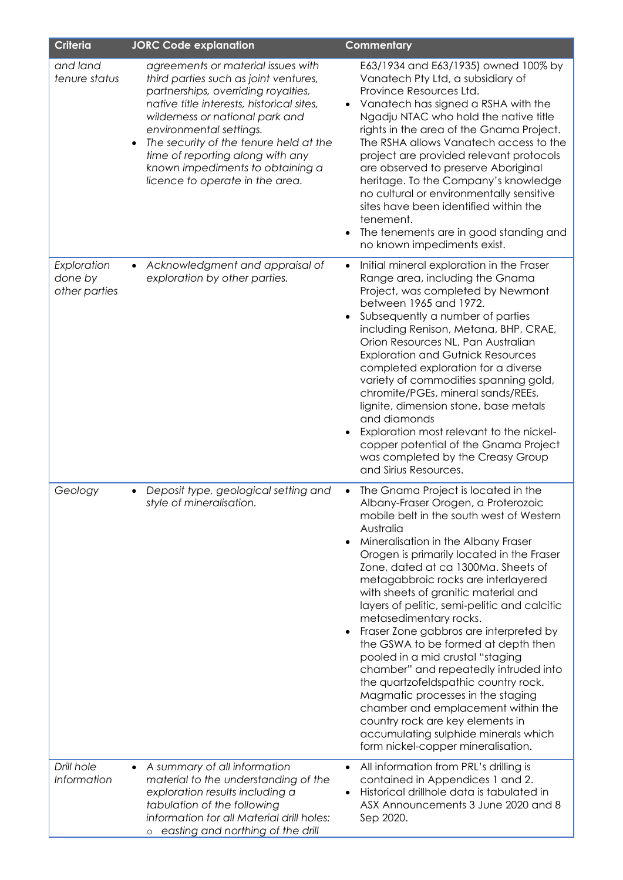| <b>Criteria</b>                         | <b>JORC Code explanation</b>                                                                                                                                                                                                                                                                                                                                                       | Commentary                                                                                                                                                                                                                                                                                                                                                                                                                                                                                                                                                                                                                                                                                                                                                                                                                 |
|-----------------------------------------|------------------------------------------------------------------------------------------------------------------------------------------------------------------------------------------------------------------------------------------------------------------------------------------------------------------------------------------------------------------------------------|----------------------------------------------------------------------------------------------------------------------------------------------------------------------------------------------------------------------------------------------------------------------------------------------------------------------------------------------------------------------------------------------------------------------------------------------------------------------------------------------------------------------------------------------------------------------------------------------------------------------------------------------------------------------------------------------------------------------------------------------------------------------------------------------------------------------------|
| and land<br>tenure status               | agreements or material issues with<br>third parties such as joint ventures,<br>partnerships, overriding royalties,<br>native title interests, historical sites,<br>wilderness or national park and<br>environmental settings.<br>The security of the tenure held at the<br>time of reporting along with any<br>known impediments to obtaining a<br>licence to operate in the area. | E63/1934 and E63/1935) owned 100% by<br>Vanatech Pty Ltd, a subsidiary of<br>Province Resources Ltd.<br>Vanatech has signed a RSHA with the<br>Ngadju NTAC who hold the native title<br>rights in the area of the Gnama Project.<br>The RSHA allows Vanatech access to the<br>project are provided relevant protocols<br>are observed to preserve Aboriginal<br>heritage. To the Company's knowledge<br>no cultural or environmentally sensitive<br>sites have been identified within the<br>tenement.<br>The tenements are in good standing and<br>no known impediments exist.                                                                                                                                                                                                                                            |
| Exploration<br>done by<br>other parties | Acknowledgment and appraisal of<br>exploration by other parties.                                                                                                                                                                                                                                                                                                                   | Initial mineral exploration in the Fraser<br>$\bullet$<br>Range area, including the Gnama<br>Project, was completed by Newmont<br>between 1965 and 1972.<br>Subsequently a number of parties<br>including Renison, Metana, BHP, CRAE,<br>Orion Resources NL, Pan Australian<br><b>Exploration and Gutnick Resources</b><br>completed exploration for a diverse<br>variety of commodities spanning gold,<br>chromite/PGEs, mineral sands/REEs,<br>lignite, dimension stone, base metals<br>and diamonds<br>Exploration most relevant to the nickel-<br>copper potential of the Gnama Project<br>was completed by the Creasy Group<br>and Sirius Resources.                                                                                                                                                                  |
| Geology                                 | Deposit type, geological setting and<br>style of mineralisation.                                                                                                                                                                                                                                                                                                                   | The Gnama Project is located in the<br>Albany-Fraser Orogen, a Proterozoic<br>mobile belt in the south west of Western<br>Australia<br>Mineralisation in the Albany Fraser<br>Orogen is primarily located in the Fraser<br>Zone, dated at ca 1300Ma. Sheets of<br>metagabbroic rocks are interlayered<br>with sheets of granitic material and<br>layers of pelitic, semi-pelitic and calcitic<br>metasedimentary rocks.<br>Fraser Zone gabbros are interpreted by<br>the GSWA to be formed at depth then<br>pooled in a mid crustal "staging<br>chamber" and repeatedly intruded into<br>the quartzofeldspathic country rock.<br>Magmatic processes in the staging<br>chamber and emplacement within the<br>country rock are key elements in<br>accumulating sulphide minerals which<br>form nickel-copper mineralisation. |
| Drill hole<br>Information               | A summary of all information<br>material to the understanding of the<br>exploration results including a<br>tabulation of the following<br>information for all Material drill holes:<br>easting and northing of the drill                                                                                                                                                           | All information from PRL's drilling is<br>contained in Appendices 1 and 2.<br>Historical drillhole data is tabulated in<br>ASX Announcements 3 June 2020 and 8<br>Sep 2020.                                                                                                                                                                                                                                                                                                                                                                                                                                                                                                                                                                                                                                                |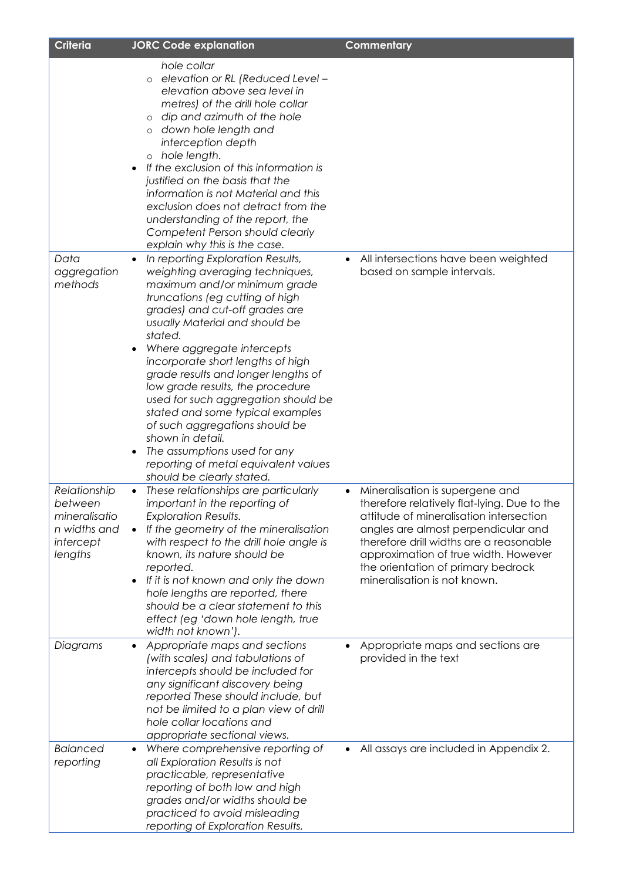| Criteria                                                                         | <b>JORC Code explanation</b>                                                                                                                                                                                                                                                                                                                                                                                                                                                                                                                                                                                                         | Commentary                                                                                                                                                                                                                                                                                                                             |
|----------------------------------------------------------------------------------|--------------------------------------------------------------------------------------------------------------------------------------------------------------------------------------------------------------------------------------------------------------------------------------------------------------------------------------------------------------------------------------------------------------------------------------------------------------------------------------------------------------------------------------------------------------------------------------------------------------------------------------|----------------------------------------------------------------------------------------------------------------------------------------------------------------------------------------------------------------------------------------------------------------------------------------------------------------------------------------|
|                                                                                  | hole collar<br>elevation or RL (Reduced Level –<br>elevation above sea level in<br>metres) of the drill hole collar<br>dip and azimuth of the hole<br>o down hole length and<br>interception depth<br>o hole length.<br>If the exclusion of this information is<br>justified on the basis that the<br>information is not Material and this<br>exclusion does not detract from the<br>understanding of the report, the<br>Competent Person should clearly<br>explain why this is the case.                                                                                                                                            |                                                                                                                                                                                                                                                                                                                                        |
| Data<br>aggregation<br>methods                                                   | In reporting Exploration Results,<br>$\bullet$<br>weighting averaging techniques,<br>maximum and/or minimum grade<br>truncations (eg cutting of high<br>grades) and cut-off grades are<br>usually Material and should be<br>stated.<br>Where aggregate intercepts<br>$\bullet$<br>incorporate short lengths of high<br>grade results and longer lengths of<br>low grade results, the procedure<br>used for such aggregation should be<br>stated and some typical examples<br>of such aggregations should be<br>shown in detail.<br>The assumptions used for any<br>reporting of metal equivalent values<br>should be clearly stated. | All intersections have been weighted<br>$\bullet$<br>based on sample intervals.                                                                                                                                                                                                                                                        |
| Relationship<br>between<br>mineralisatio<br>n widths and<br>intercept<br>lengths | These relationships are particularly<br>$\bullet$<br>important in the reporting of<br><b>Exploration Results.</b><br>If the geometry of the mineralisation<br>$\bullet$<br>with respect to the drill hole angle is<br>known, its nature should be<br>reported.<br>If it is not known and only the down<br>$\bullet$<br>hole lengths are reported, there<br>should be a clear statement to this<br>effect (eg 'down hole length, true<br>width not known').                                                                                                                                                                           | Mineralisation is supergene and<br>$\bullet$<br>therefore relatively flat-lying. Due to the<br>attitude of mineralisation intersection<br>angles are almost perpendicular and<br>therefore drill widths are a reasonable<br>approximation of true width. However<br>the orientation of primary bedrock<br>mineralisation is not known. |
| Diagrams                                                                         | Appropriate maps and sections<br>(with scales) and tabulations of<br>intercepts should be included for<br>any significant discovery being<br>reported These should include, but<br>not be limited to a plan view of drill<br>hole collar locations and<br>appropriate sectional views.                                                                                                                                                                                                                                                                                                                                               | Appropriate maps and sections are<br>$\bullet$<br>provided in the text                                                                                                                                                                                                                                                                 |
| <b>Balanced</b><br>reporting                                                     | Where comprehensive reporting of<br>$\bullet$<br>all Exploration Results is not<br>practicable, representative<br>reporting of both low and high<br>grades and/or widths should be<br>practiced to avoid misleading<br>reporting of Exploration Results.                                                                                                                                                                                                                                                                                                                                                                             | All assays are included in Appendix 2.                                                                                                                                                                                                                                                                                                 |